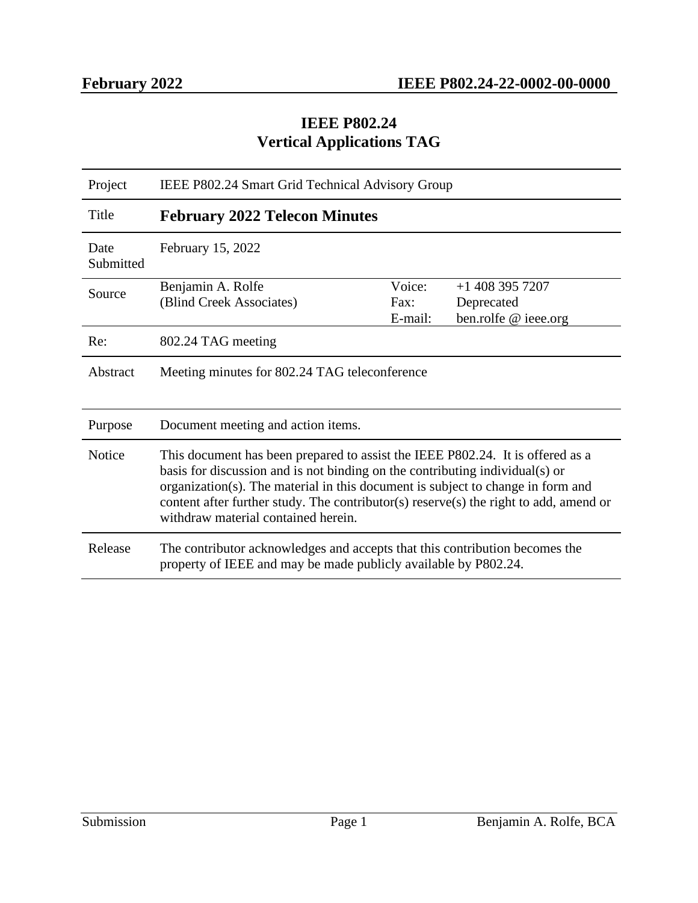#### **IEEE P802.24 Vertical Applications TAG**

| Project           | IEEE P802.24 Smart Grid Technical Advisory Group                                                                                                                                                                                                                                                                                                                                  |                           |                                                         |  |
|-------------------|-----------------------------------------------------------------------------------------------------------------------------------------------------------------------------------------------------------------------------------------------------------------------------------------------------------------------------------------------------------------------------------|---------------------------|---------------------------------------------------------|--|
| Title             | <b>February 2022 Telecon Minutes</b>                                                                                                                                                                                                                                                                                                                                              |                           |                                                         |  |
| Date<br>Submitted | February 15, 2022                                                                                                                                                                                                                                                                                                                                                                 |                           |                                                         |  |
| Source            | Benjamin A. Rolfe<br>(Blind Creek Associates)                                                                                                                                                                                                                                                                                                                                     | Voice:<br>Fax:<br>E-mail: | $+1$ 408 395 7207<br>Deprecated<br>ben.rolfe @ ieee.org |  |
| Re:               | 802.24 TAG meeting                                                                                                                                                                                                                                                                                                                                                                |                           |                                                         |  |
| Abstract          | Meeting minutes for 802.24 TAG teleconference                                                                                                                                                                                                                                                                                                                                     |                           |                                                         |  |
| Purpose           | Document meeting and action items.                                                                                                                                                                                                                                                                                                                                                |                           |                                                         |  |
| <b>Notice</b>     | This document has been prepared to assist the IEEE P802.24. It is offered as a<br>basis for discussion and is not binding on the contributing individual(s) or<br>organization(s). The material in this document is subject to change in form and<br>content after further study. The contributor(s) reserve(s) the right to add, amend or<br>withdraw material contained herein. |                           |                                                         |  |
| Release           | The contributor acknowledges and accepts that this contribution becomes the<br>property of IEEE and may be made publicly available by P802.24.                                                                                                                                                                                                                                    |                           |                                                         |  |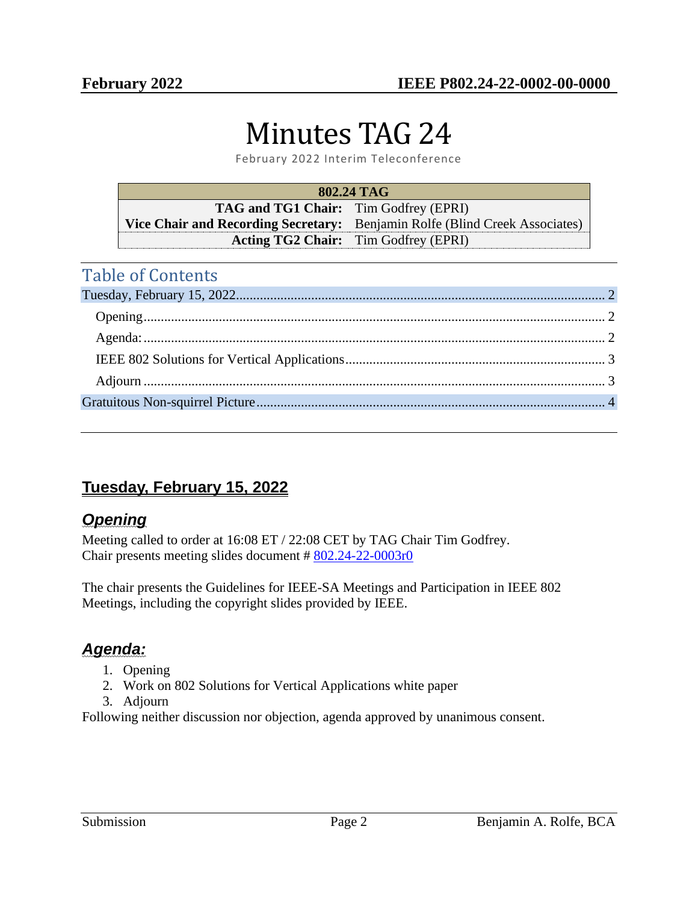# Minutes TAG 24

February 2022 Interim Teleconference

| 802.24 TAG                                   |                                                                             |  |  |
|----------------------------------------------|-----------------------------------------------------------------------------|--|--|
| <b>TAG and TG1 Chair:</b> Tim Godfrey (EPRI) |                                                                             |  |  |
|                                              | Vice Chair and Recording Secretary: Benjamin Rolfe (Blind Creek Associates) |  |  |
|                                              | <b>Acting TG2 Chair:</b> Tim Godfrey (EPRI)                                 |  |  |

## Table of Contents

# <span id="page-1-0"></span>**Tuesday, February 15, 2022**

#### <span id="page-1-1"></span>*Opening*

Meeting called to order at 16:08 ET / 22:08 CET by TAG Chair Tim Godfrey. Chair presents meeting slides document # [802.24-22-0003r0](https://mentor.ieee.org/802.24/dcn/22/24-22-0003-00-0000-february-teleconference-on-ieee-802-solutions-for-vertical-applications-white-paper.pptx)

The chair presents the Guidelines for IEEE-SA Meetings and Participation in IEEE 802 Meetings, including the copyright slides provided by IEEE.

## <span id="page-1-2"></span>*Agenda:*

- 1. Opening
- 2. Work on 802 Solutions for Vertical Applications white paper
- 3. Adjourn

Following neither discussion nor objection, agenda approved by unanimous consent.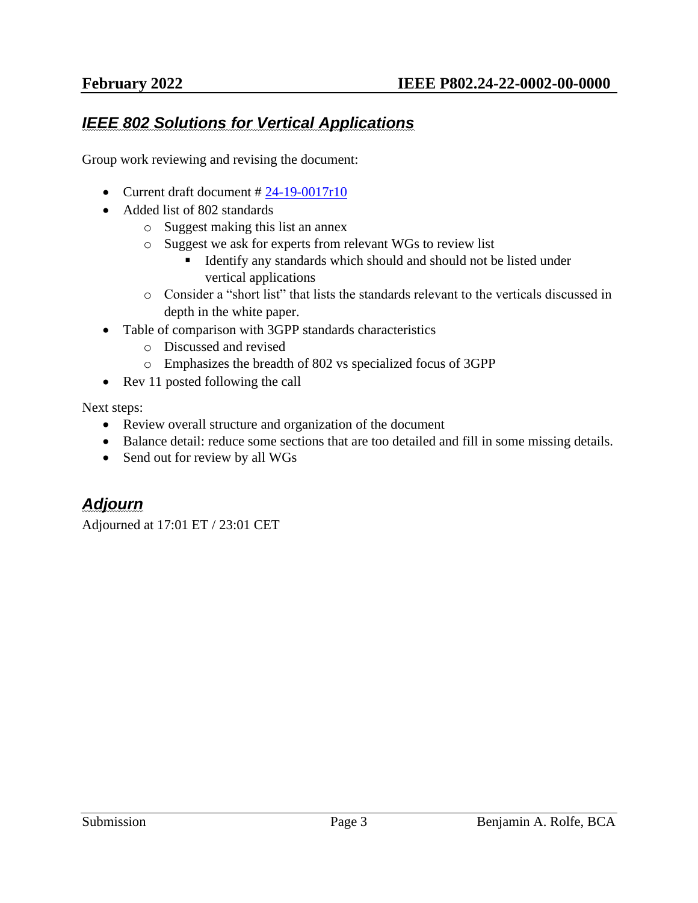#### <span id="page-2-0"></span>*IEEE 802 Solutions for Vertical Applications*

Group work reviewing and revising the document:

- Current draft document  $\# 24-19-0017r10$  $\# 24-19-0017r10$
- Added list of 802 standards
	- o Suggest making this list an annex
	- o Suggest we ask for experts from relevant WGs to review list
		- **EXECUTE:** Identify any standards which should and should not be listed under vertical applications
	- o Consider a "short list" that lists the standards relevant to the verticals discussed in depth in the white paper.
- Table of comparison with 3GPP standards characteristics
	- o Discussed and revised
	- o Emphasizes the breadth of 802 vs specialized focus of 3GPP
- Rev 11 posted following the call

Next steps:

- Review overall structure and organization of the document
- Balance detail: reduce some sections that are too detailed and fill in some missing details.
- Send out for review by all WGs

#### <span id="page-2-1"></span>*Adjourn*

Adjourned at 17:01 ET / 23:01 CET